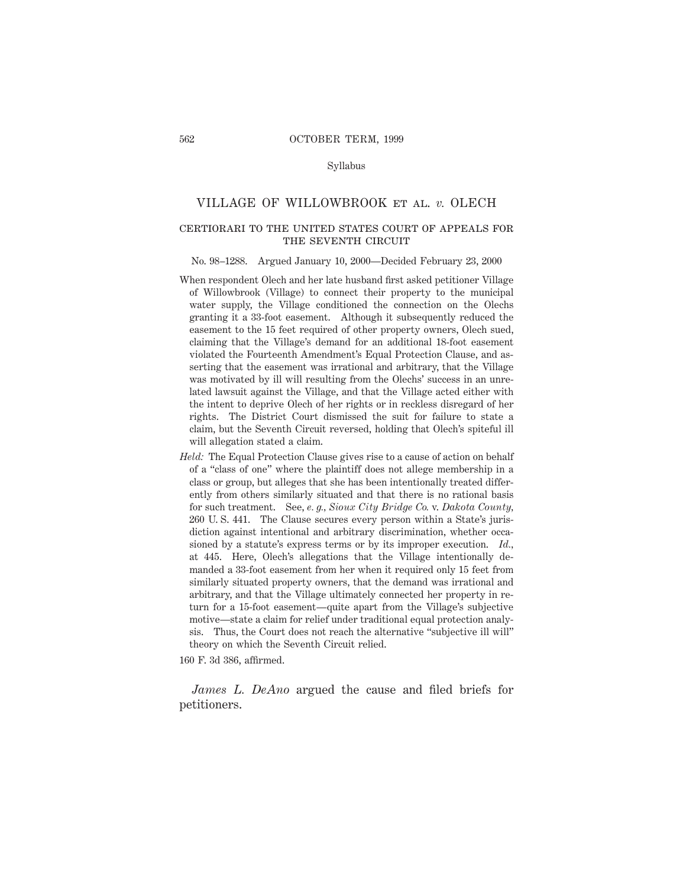### Syllabus

## VILLAGE OF WILLOWBROOK et al. *v.* OLECH

# certiorari to the united states court of appeals for THE SEVENTH CIRCUIT

#### No. 98–1288. Argued January 10, 2000—Decided February 23, 2000

- When respondent Olech and her late husband first asked petitioner Village of Willowbrook (Village) to connect their property to the municipal water supply, the Village conditioned the connection on the Olechs granting it a 33-foot easement. Although it subsequently reduced the easement to the 15 feet required of other property owners, Olech sued, claiming that the Village's demand for an additional 18-foot easement violated the Fourteenth Amendment's Equal Protection Clause, and asserting that the easement was irrational and arbitrary, that the Village was motivated by ill will resulting from the Olechs' success in an unrelated lawsuit against the Village, and that the Village acted either with the intent to deprive Olech of her rights or in reckless disregard of her rights. The District Court dismissed the suit for failure to state a claim, but the Seventh Circuit reversed, holding that Olech's spiteful ill will allegation stated a claim.
- *Held:* The Equal Protection Clause gives rise to a cause of action on behalf of a "class of one" where the plaintiff does not allege membership in a class or group, but alleges that she has been intentionally treated differently from others similarly situated and that there is no rational basis for such treatment. See, *e. g., Sioux City Bridge Co.* v. *Dakota County,* 260 U. S. 441. The Clause secures every person within a State's jurisdiction against intentional and arbitrary discrimination, whether occasioned by a statute's express terms or by its improper execution. *Id.,* at 445. Here, Olech's allegations that the Village intentionally demanded a 33-foot easement from her when it required only 15 feet from similarly situated property owners, that the demand was irrational and arbitrary, and that the Village ultimately connected her property in return for a 15-foot easement—quite apart from the Village's subjective motive—state a claim for relief under traditional equal protection analysis. Thus, the Court does not reach the alternative "subjective ill will" theory on which the Seventh Circuit relied.

160 F. 3d 386, affirmed.

*James L. DeAno* argued the cause and filed briefs for petitioners.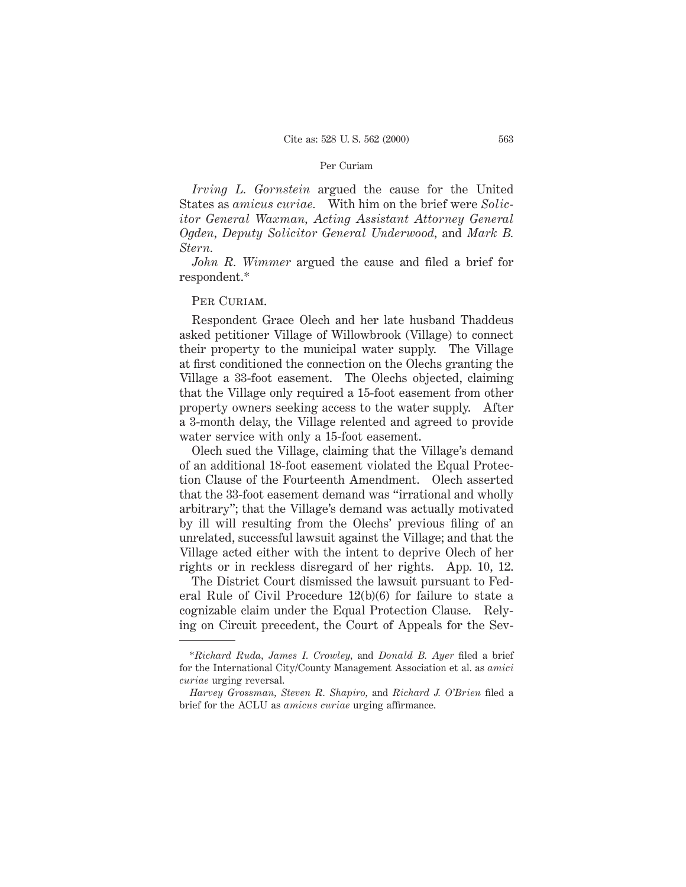### Per Curiam

*Irving L. Gornstein* argued the cause for the United States as *amicus curiae.* With him on the brief were *Solicitor General Waxman, Acting Assistant Attorney General Ogden, Deputy Solicitor General Underwood,* and *Mark B. Stern.*

*John R. Wimmer* argued the cause and filed a brief for respondent.\*

# PER CURIAM.

Respondent Grace Olech and her late husband Thaddeus asked petitioner Village of Willowbrook (Village) to connect their property to the municipal water supply. The Village at first conditioned the connection on the Olechs granting the Village a 33-foot easement. The Olechs objected, claiming that the Village only required a 15-foot easement from other property owners seeking access to the water supply. After a 3-month delay, the Village relented and agreed to provide water service with only a 15-foot easement.

Olech sued the Village, claiming that the Village's demand of an additional 18-foot easement violated the Equal Protection Clause of the Fourteenth Amendment. Olech asserted that the 33-foot easement demand was "irrational and wholly arbitrary"; that the Village's demand was actually motivated by ill will resulting from the Olechs' previous filing of an unrelated, successful lawsuit against the Village; and that the Village acted either with the intent to deprive Olech of her rights or in reckless disregard of her rights. App. 10, 12.

The District Court dismissed the lawsuit pursuant to Federal Rule of Civil Procedure 12(b)(6) for failure to state a cognizable claim under the Equal Protection Clause. Relying on Circuit precedent, the Court of Appeals for the Sev-

<sup>\*</sup>*Richard Ruda, James I. Crowley,* and *Donald B. Ayer* filed a brief for the International City/County Management Association et al. as *amici curiae* urging reversal.

*Harvey Grossman, Steven R. Shapiro,* and *Richard J. O'Brien* filed a brief for the ACLU as *amicus curiae* urging affirmance.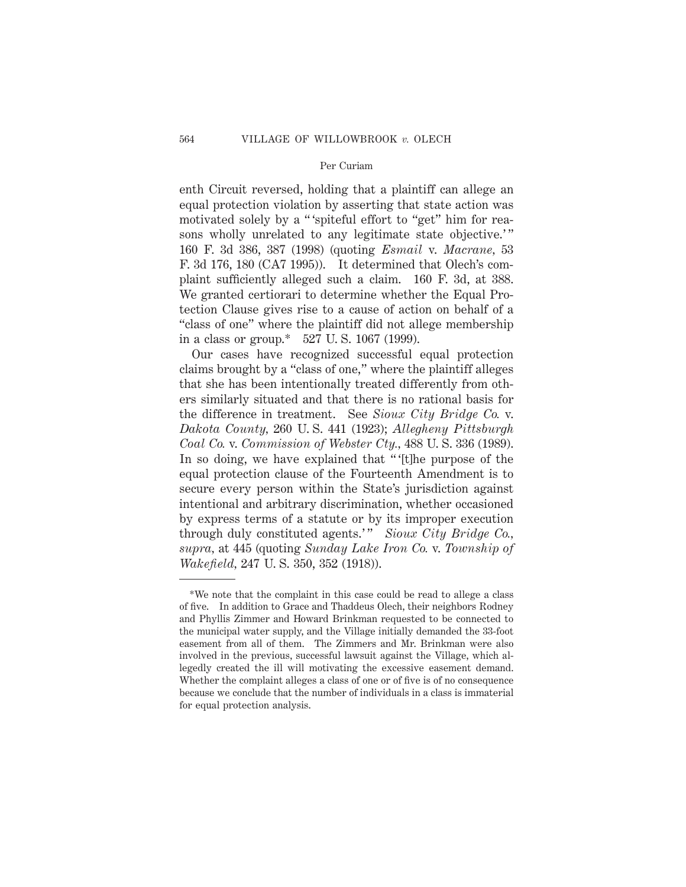#### Per Curiam

enth Circuit reversed, holding that a plaintiff can allege an equal protection violation by asserting that state action was motivated solely by a " 'spiteful effort to "get" him for reasons wholly unrelated to any legitimate state objective.'" 160 F. 3d 386, 387 (1998) (quoting *Esmail* v. *Macrane,* 53 F. 3d 176, 180 (CA7 1995)). It determined that Olech's complaint sufficiently alleged such a claim. 160 F. 3d, at 388. We granted certiorari to determine whether the Equal Protection Clause gives rise to a cause of action on behalf of a "class of one" where the plaintiff did not allege membership in a class or group.\* 527 U. S. 1067 (1999).

Our cases have recognized successful equal protection claims brought by a "class of one," where the plaintiff alleges that she has been intentionally treated differently from others similarly situated and that there is no rational basis for the difference in treatment. See *Sioux City Bridge Co.* v. *Dakota County,* 260 U. S. 441 (1923); *Allegheny Pittsburgh Coal Co.* v. *Commission of Webster Cty.,* 488 U. S. 336 (1989). In so doing, we have explained that " '[t]he purpose of the equal protection clause of the Fourteenth Amendment is to secure every person within the State's jurisdiction against intentional and arbitrary discrimination, whether occasioned by express terms of a statute or by its improper execution through duly constituted agents.'" *Sioux City Bridge Co.*, *supra,* at 445 (quoting *Sunday Lake Iron Co.* v. *Township of Wakefield,* 247 U. S. 350, 352 (1918)).

<sup>\*</sup>We note that the complaint in this case could be read to allege a class of five. In addition to Grace and Thaddeus Olech, their neighbors Rodney and Phyllis Zimmer and Howard Brinkman requested to be connected to the municipal water supply, and the Village initially demanded the 33-foot easement from all of them. The Zimmers and Mr. Brinkman were also involved in the previous, successful lawsuit against the Village, which allegedly created the ill will motivating the excessive easement demand. Whether the complaint alleges a class of one or of five is of no consequence because we conclude that the number of individuals in a class is immaterial for equal protection analysis.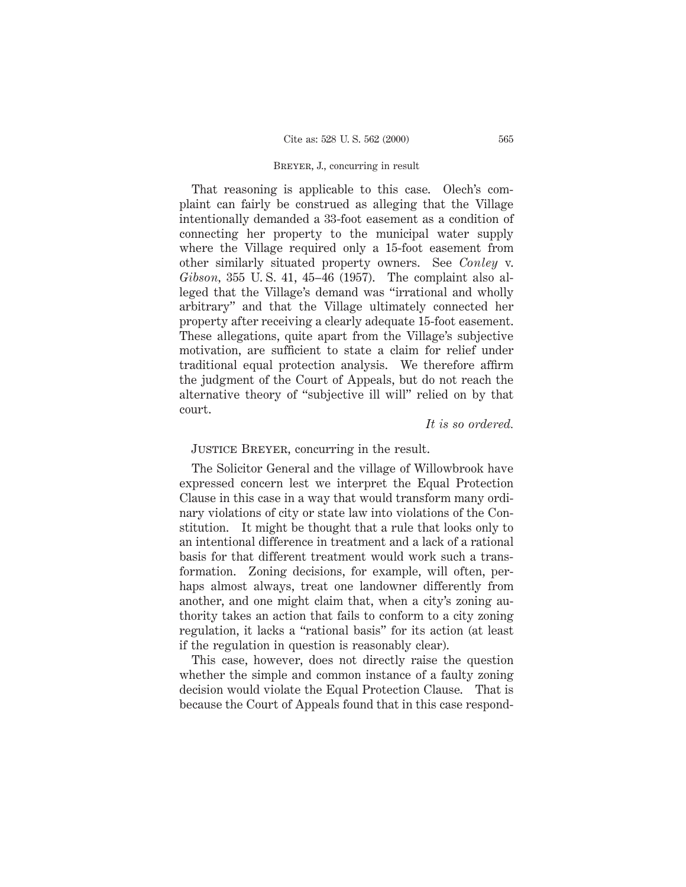## Breyer, J., concurring in result

That reasoning is applicable to this case. Olech's complaint can fairly be construed as alleging that the Village intentionally demanded a 33-foot easement as a condition of connecting her property to the municipal water supply where the Village required only a 15-foot easement from other similarly situated property owners. See *Conley* v. *Gibson,* 355 U. S. 41, 45–46 (1957). The complaint also alleged that the Village's demand was "irrational and wholly arbitrary" and that the Village ultimately connected her property after receiving a clearly adequate 15-foot easement. These allegations, quite apart from the Village's subjective motivation, are sufficient to state a claim for relief under traditional equal protection analysis. We therefore affirm the judgment of the Court of Appeals, but do not reach the alternative theory of "subjective ill will" relied on by that court.

*It is so ordered.*

# JUSTICE BREYER, concurring in the result.

The Solicitor General and the village of Willowbrook have expressed concern lest we interpret the Equal Protection Clause in this case in a way that would transform many ordinary violations of city or state law into violations of the Constitution. It might be thought that a rule that looks only to an intentional difference in treatment and a lack of a rational basis for that different treatment would work such a transformation. Zoning decisions, for example, will often, perhaps almost always, treat one landowner differently from another, and one might claim that, when a city's zoning authority takes an action that fails to conform to a city zoning regulation, it lacks a "rational basis" for its action (at least if the regulation in question is reasonably clear).

This case, however, does not directly raise the question whether the simple and common instance of a faulty zoning decision would violate the Equal Protection Clause. That is because the Court of Appeals found that in this case respond-